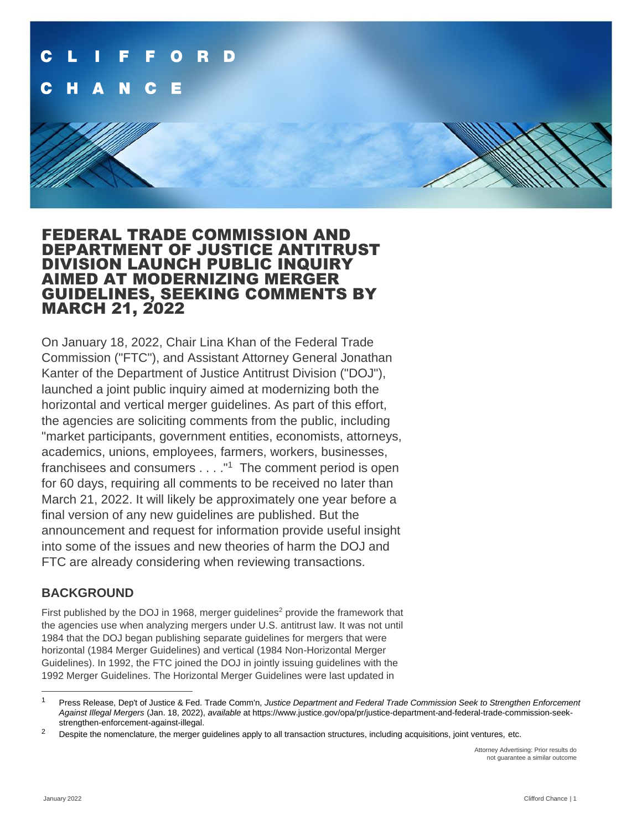

# FEDERAL TRADE COMMISSION AND DEPARTMENT OF JUSTICE ANTITRUST DIVISION LAUNCH PUBLIC INQUIRY AIMED AT MODERNIZING MERGER GUIDELINES, SEEKING COMMENTS BY MARCH 21, 2022

On January 18, 2022, Chair Lina Khan of the Federal Trade Commission ("FTC"), and Assistant Attorney General Jonathan Kanter of the Department of Justice Antitrust Division ("DOJ"), launched a joint public inquiry aimed at modernizing both the horizontal and vertical merger guidelines. As part of this effort, the agencies are soliciting comments from the public, including "market participants, government entities, economists, attorneys, academics, unions, employees, farmers, workers, businesses, franchisees and consumers . . . . "<sup>1</sup> The comment period is open for 60 days, requiring all comments to be received no later than March 21, 2022. It will likely be approximately one year before a final version of any new guidelines are published. But the announcement and request for information provide useful insight into some of the issues and new theories of harm the DOJ and FTC are already considering when reviewing transactions.

## **BACKGROUND**

First published by the DOJ in 1968, merger guidelines<sup>2</sup> provide the framework that the agencies use when analyzing mergers under U.S. antitrust law. It was not until 1984 that the DOJ began publishing separate guidelines for mergers that were horizontal (1984 Merger Guidelines) and vertical (1984 Non-Horizontal Merger Guidelines). In 1992, the FTC joined the DOJ in jointly issuing guidelines with the 1992 Merger Guidelines. The Horizontal Merger Guidelines were last updated in

Attorney Advertising: Prior results do not guarantee a similar outcome

<sup>1</sup> Press Release, Dep't of Justice & Fed. Trade Comm'n, *Justice Department and Federal Trade Commission Seek to Strengthen Enforcement Against Illegal Mergers* (Jan. 18, 2022), *available* at https://www.justice.gov/opa/pr/justice-department-and-federal-trade-commission-seekstrengthen-enforcement-against-illegal.

 $2$  Despite the nomenclature, the merger guidelines apply to all transaction structures, including acquisitions, joint ventures, etc.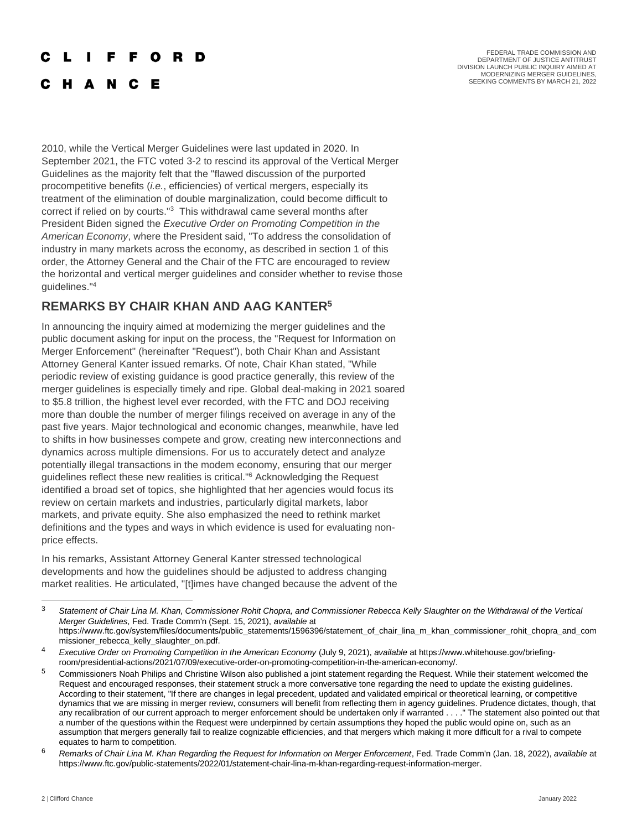### **Contract** F F O R D

**C H A N C E** 

FEDERAL TRADE COMMISSION AND DEPARTMENT OF JUSTICE ANTITRUST DIVISION LAUNCH PUBLIC INQUIRY AIMED AT MODERNIZING MERGER GUIDELINES, SEEKING COMMENTS BY MARCH 21, 2022

2010, while the Vertical Merger Guidelines were last updated in 2020. In September 2021, the FTC voted 3-2 to rescind its approval of the Vertical Merger Guidelines as the majority felt that the "flawed discussion of the purported procompetitive benefits (*i.e.*, efficiencies) of vertical mergers, especially its treatment of the elimination of double marginalization, could become difficult to correct if relied on by courts."<sup>3</sup> This withdrawal came several months after President Biden signed the *Executive Order on Promoting Competition in the American Economy*, where the President said, "To address the consolidation of industry in many markets across the economy, as described in section 1 of this order, the Attorney General and the Chair of the FTC are encouraged to review the horizontal and vertical merger guidelines and consider whether to revise those guidelines."<sup>4</sup>

# **REMARKS BY CHAIR KHAN AND AAG KANTER<sup>5</sup>**

In announcing the inquiry aimed at modernizing the merger guidelines and the public document asking for input on the process, the "Request for Information on Merger Enforcement" (hereinafter "Request"), both Chair Khan and Assistant Attorney General Kanter issued remarks. Of note, Chair Khan stated, "While periodic review of existing guidance is good practice generally, this review of the merger guidelines is especially timely and ripe. Global deal-making in 2021 soared to \$5.8 trillion, the highest level ever recorded, with the FTC and DOJ receiving more than double the number of merger filings received on average in any of the past five years. Major technological and economic changes, meanwhile, have led to shifts in how businesses compete and grow, creating new interconnections and dynamics across multiple dimensions. For us to accurately detect and analyze potentially illegal transactions in the modem economy, ensuring that our merger guidelines reflect these new realities is critical."<sup>6</sup> Acknowledging the Request identified a broad set of topics, she highlighted that her agencies would focus its review on certain markets and industries, particularly digital markets, labor markets, and private equity. She also emphasized the need to rethink market definitions and the types and ways in which evidence is used for evaluating nonprice effects.

In his remarks, Assistant Attorney General Kanter stressed technological developments and how the guidelines should be adjusted to address changing market realities. He articulated, "[t]imes have changed because the advent of the

<sup>3</sup> *Statement of Chair Lina M. Khan, Commissioner Rohit Chopra, and Commissioner Rebecca Kelly Slaughter on the Withdrawal of the Vertical Merger Guidelines*, Fed. Trade Comm'n (Sept. 15, 2021), *available* at https://www.ftc.gov/system/files/documents/public\_statements/1596396/statement\_of\_chair\_lina\_m\_khan\_commissioner\_rohit\_chopra\_and\_com missioner\_rebecca\_kelly\_slaughter\_on.pdf.

<sup>4</sup> *Executive Order on Promoting Competition in the American Economy* (July 9, 2021), *available* at https://www.whitehouse.gov/briefingroom/presidential-actions/2021/07/09/executive-order-on-promoting-competition-in-the-american-economy/.

<sup>&</sup>lt;sup>5</sup> Commissioners Noah Philips and Christine Wilson also published a joint statement regarding the Request. While their statement welcomed the Request and encouraged responses, their statement struck a more conversative tone regarding the need to update the existing guidelines. According to their statement, "If there are changes in legal precedent, updated and validated empirical or theoretical learning, or competitive dynamics that we are missing in merger review, consumers will benefit from reflecting them in agency guidelines. Prudence dictates, though, that any recalibration of our current approach to merger enforcement should be undertaken only if warranted . . . ." The statement also pointed out that a number of the questions within the Request were underpinned by certain assumptions they hoped the public would opine on, such as an assumption that mergers generally fail to realize cognizable efficiencies, and that mergers which making it more difficult for a rival to compete equates to harm to competition.

<sup>6</sup> *Remarks of Chair Lina M. Khan Regarding the Request for Information on Merger Enforcement*, Fed. Trade Comm'n (Jan. 18, 2022), *available* at https://www.ftc.gov/public-statements/2022/01/statement-chair-lina-m-khan-regarding-request-information-merger.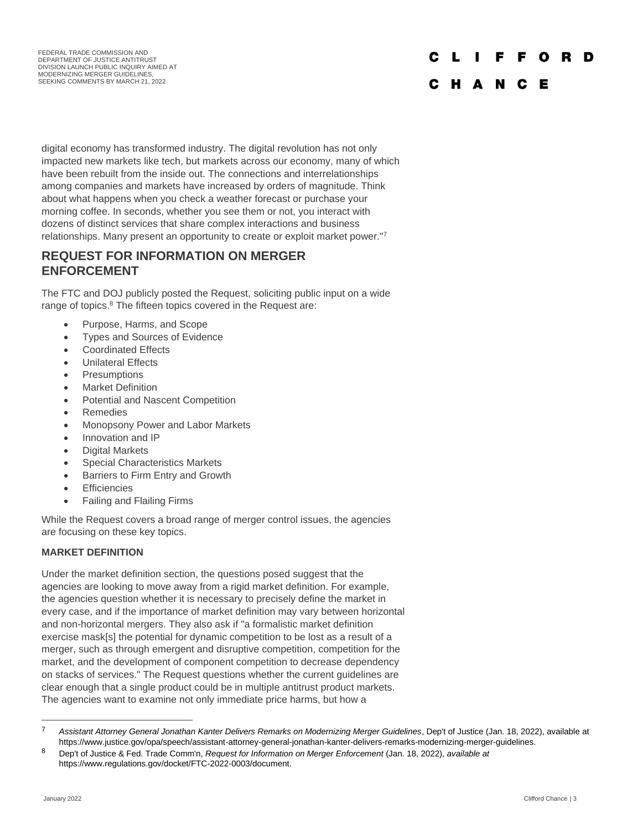#### C L I F F O R D

# C H A N C E

digital economy has transformed industry. The digital revolution has not only impacted new markets like tech, but markets across our economy, many of which have been rebuilt from the inside out. The connections and interrelationships among companies and markets have increased by orders of magnitude. Think about what happens when you check a weather forecast or purchase your morning coffee. In seconds, whether you see them or not, you interact with dozens of distinct services that share complex interactions and business relationships. Many present an opportunity to create or exploit market power."<sup>7</sup>

## **REQUEST FOR INFORMATION ON MERGER ENFORCEMENT**

The FTC and DOJ publicly posted the Request, soliciting public input on a wide range of topics.<sup>8</sup> The fifteen topics covered in the Request are:

- Purpose, Harms, and Scope
- Types and Sources of Evidence
- Coordinated Effects
- Unilateral Effects
- Presumptions
- **Market Definition**
- Potential and Nascent Competition
- Remedies
- Monopsony Power and Labor Markets
- Innovation and IP
- Digital Markets
- Special Characteristics Markets
- Barriers to Firm Entry and Growth
- Efficiencies
- Failing and Flailing Firms

While the Request covers a broad range of merger control issues, the agencies are focusing on these key topics.

## **MARKET DEFINITION**

Under the market definition section, the questions posed suggest that the agencies are looking to move away from a rigid market definition. For example, the agencies question whether it is necessary to precisely define the market in every case, and if the importance of market definition may vary between horizontal and non-horizontal mergers. They also ask if "a formalistic market definition exercise mask[s] the potential for dynamic competition to be lost as a result of a merger, such as through emergent and disruptive competition, competition for the market, and the development of component competition to decrease dependency on stacks of services." The Request questions whether the current guidelines are clear enough that a single product could be in multiple antitrust product markets. The agencies want to examine not only immediate price harms, but how a

<sup>7</sup> *Assistant Attorney General Jonathan Kanter Delivers Remarks on Modernizing Merger Guidelines*, Dep't of Justice (Jan. 18, 2022), available at https://www.justice.gov/opa/speech/assistant-attorney-general-jonathan-kanter-delivers-remarks-modernizing-merger-guidelines.

<sup>8</sup> Dep't of Justice & Fed. Trade Comm'n, *Request for Information on Merger Enforcement* (Jan. 18, 2022), *available at* https://www.regulations.gov/docket/FTC-2022-0003/document.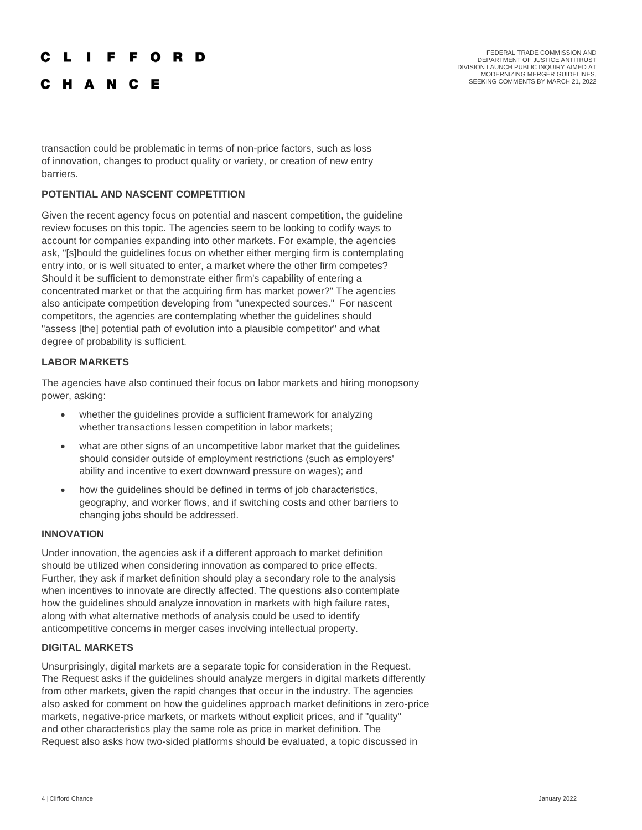### **FFORD**  $\mathbf{L}$   $\mathbf{L}$

**C H A N C E** 

FEDERAL TRADE COMMISSION AND DEPARTMENT OF JUSTICE ANTITRUST DIVISION LAUNCH PUBLIC INQUIRY AIMED AT MODERNIZING MERGER GUIDELINES, SEEKING COMMENTS BY MARCH 21, 2022

transaction could be problematic in terms of non-price factors, such as loss of innovation, changes to product quality or variety, or creation of new entry barriers.

## **POTENTIAL AND NASCENT COMPETITION**

Given the recent agency focus on potential and nascent competition, the guideline review focuses on this topic. The agencies seem to be looking to codify ways to account for companies expanding into other markets. For example, the agencies ask, "[s]hould the guidelines focus on whether either merging firm is contemplating entry into, or is well situated to enter, a market where the other firm competes? Should it be sufficient to demonstrate either firm's capability of entering a concentrated market or that the acquiring firm has market power?" The agencies also anticipate competition developing from "unexpected sources." For nascent competitors, the agencies are contemplating whether the guidelines should "assess [the] potential path of evolution into a plausible competitor" and what degree of probability is sufficient.

## **LABOR MARKETS**

The agencies have also continued their focus on labor markets and hiring monopsony power, asking:

- whether the guidelines provide a sufficient framework for analyzing whether transactions lessen competition in labor markets;
- what are other signs of an uncompetitive labor market that the guidelines should consider outside of employment restrictions (such as employers' ability and incentive to exert downward pressure on wages); and
- how the guidelines should be defined in terms of job characteristics, geography, and worker flows, and if switching costs and other barriers to changing jobs should be addressed.

## **INNOVATION**

Under innovation, the agencies ask if a different approach to market definition should be utilized when considering innovation as compared to price effects. Further, they ask if market definition should play a secondary role to the analysis when incentives to innovate are directly affected. The questions also contemplate how the guidelines should analyze innovation in markets with high failure rates, along with what alternative methods of analysis could be used to identify anticompetitive concerns in merger cases involving intellectual property.

## **DIGITAL MARKETS**

Unsurprisingly, digital markets are a separate topic for consideration in the Request. The Request asks if the guidelines should analyze mergers in digital markets differently from other markets, given the rapid changes that occur in the industry. The agencies also asked for comment on how the guidelines approach market definitions in zero-price markets, negative-price markets, or markets without explicit prices, and if "quality" and other characteristics play the same role as price in market definition. The Request also asks how two-sided platforms should be evaluated, a topic discussed in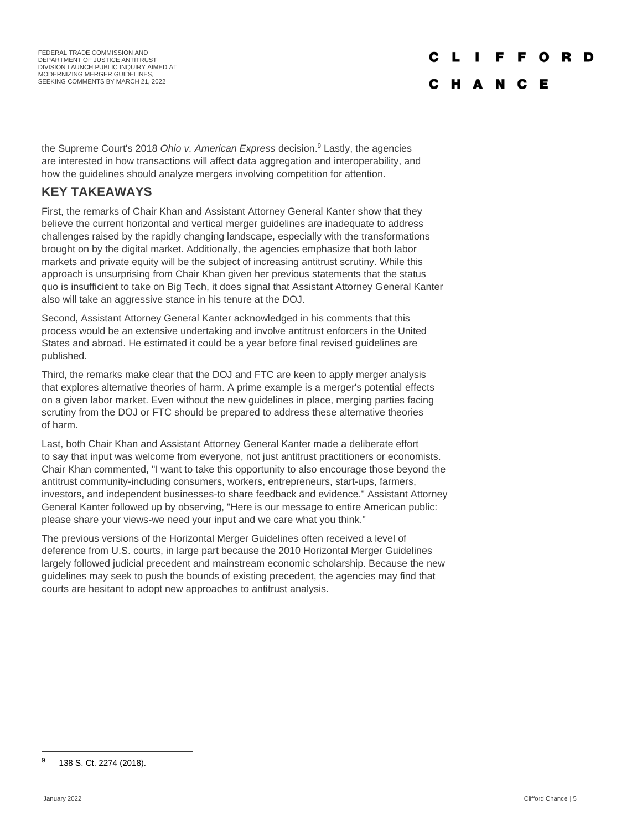FEDERAL TRADE COMMISSION AND DEPARTMENT OF JUSTICE ANTITRUST DIVISION LAUNCH PUBLIC INQUIRY AIMED AT MODERNIZING MERGER GUIDELINES, SEEKING COMMENTS BY MARCH 21, 2022

# O

### C H A N C Е

the Supreme Court's 2018 *Ohio v. American Express* decision.<sup>9</sup> Lastly, the agencies are interested in how transactions will affect data aggregation and interoperability, and how the guidelines should analyze mergers involving competition for attention.

# **KEY TAKEAWAYS**

First, the remarks of Chair Khan and Assistant Attorney General Kanter show that they believe the current horizontal and vertical merger guidelines are inadequate to address challenges raised by the rapidly changing landscape, especially with the transformations brought on by the digital market. Additionally, the agencies emphasize that both labor markets and private equity will be the subject of increasing antitrust scrutiny. While this approach is unsurprising from Chair Khan given her previous statements that the status quo is insufficient to take on Big Tech, it does signal that Assistant Attorney General Kanter also will take an aggressive stance in his tenure at the DOJ.

Second, Assistant Attorney General Kanter acknowledged in his comments that this process would be an extensive undertaking and involve antitrust enforcers in the United States and abroad. He estimated it could be a year before final revised guidelines are published.

Third, the remarks make clear that the DOJ and FTC are keen to apply merger analysis that explores alternative theories of harm. A prime example is a merger's potential effects on a given labor market. Even without the new guidelines in place, merging parties facing scrutiny from the DOJ or FTC should be prepared to address these alternative theories of harm.

Last, both Chair Khan and Assistant Attorney General Kanter made a deliberate effort to say that input was welcome from everyone, not just antitrust practitioners or economists. Chair Khan commented, "I want to take this opportunity to also encourage those beyond the antitrust community-including consumers, workers, entrepreneurs, start-ups, farmers, investors, and independent businesses-to share feedback and evidence." Assistant Attorney General Kanter followed up by observing, "Here is our message to entire American public: please share your views-we need your input and we care what you think."

The previous versions of the Horizontal Merger Guidelines often received a level of deference from U.S. courts, in large part because the 2010 Horizontal Merger Guidelines largely followed judicial precedent and mainstream economic scholarship. Because the new guidelines may seek to push the bounds of existing precedent, the agencies may find that courts are hesitant to adopt new approaches to antitrust analysis.

<sup>9</sup> 138 S. Ct. 2274 (2018).